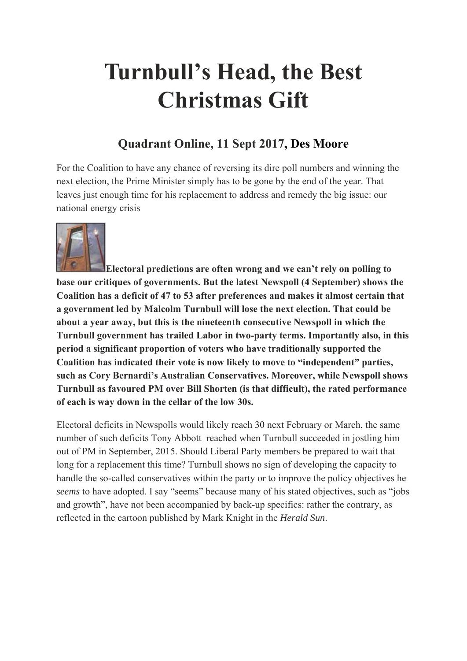## **Turnbull's Head, the Best Christmas Gift**

## **Quadrant Online, 11 Sept 2017, Des Moore**

For the Coalition to have any chance of reversing its dire poll numbers and winning the next election, the Prime Minister simply has to be gone by the end of the year. That leaves just enough time for his replacement to address and remedy the big issue: our national energy crisis



**Electoral predictions are often wrong and we can't rely on polling to base our critiques of governments. But the latest Newspoll (4 September) shows the Coalition has a deficit of 47 to 53 after preferences and makes it almost certain that a government led by Malcolm Turnbull will lose the next election. That could be about a year away, but this is the nineteenth consecutive Newspoll in which the Turnbull government has trailed Labor in two-party terms. Importantly also, in this period a significant proportion of voters who have traditionally supported the Coalition has indicated their vote is now likely to move to "independent" parties, such as Cory Bernardi's Australian Conservatives. Moreover, while Newspoll shows Turnbull as favoured PM over Bill Shorten (is that difficult), the rated performance of each is way down in the cellar of the low 30s.**

Electoral deficits in Newspolls would likely reach 30 next February or March, the same number of such deficits Tony Abbott reached when Turnbull succeeded in jostling him out of PM in September, 2015. Should Liberal Party members be prepared to wait that long for a replacement this time? Turnbull shows no sign of developing the capacity to handle the so-called conservatives within the party or to improve the policy objectives he *seems* to have adopted. I say "seems" because many of his stated objectives, such as "jobs and growth", have not been accompanied by back-up specifics: rather the contrary, as reflected in the cartoon published by Mark Knight in the *Herald Sun*.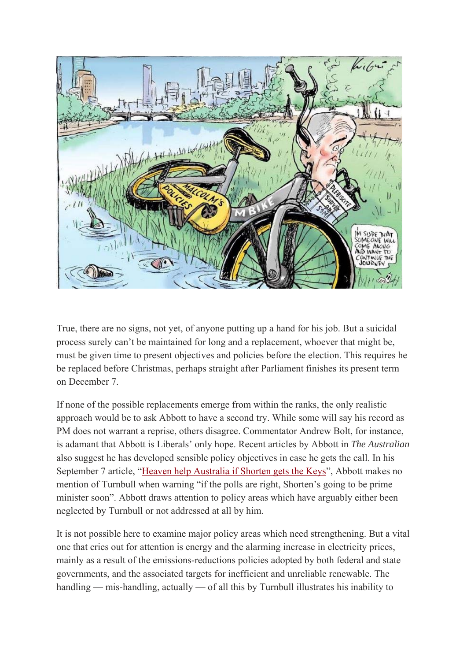

True, there are no signs, not yet, of anyone putting up a hand for his job. But a suicidal process surely can't be maintained for long and a replacement, whoever that might be, must be given time to present objectives and policies before the election. This requires he be replaced before Christmas, perhaps straight after Parliament finishes its present term on December 7.

If none of the possible replacements emerge from within the ranks, the only realistic approach would be to ask Abbott to have a second try. While some will say his record as PM does not warrant a reprise, others disagree. Commentator Andrew Bolt, for instance, is adamant that Abbott is Liberals' only hope. Recent articles by Abbott in *The Australian* also suggest he has developed sensible policy objectives in case he gets the call. In his September 7 article, "Heaven help Australia if Shorten gets the Keys", Abbott makes no mention of Turnbull when warning "if the polls are right, Shorten's going to be prime minister soon". Abbott draws attention to policy areas which have arguably either been neglected by Turnbull or not addressed at all by him.

It is not possible here to examine major policy areas which need strengthening. But a vital one that cries out for attention is energy and the alarming increase in electricity prices, mainly as a result of the emissions-reductions policies adopted by both federal and state governments, and the associated targets for inefficient and unreliable renewable. The handling — mis-handling, actually — of all this by Turnbull illustrates his inability to